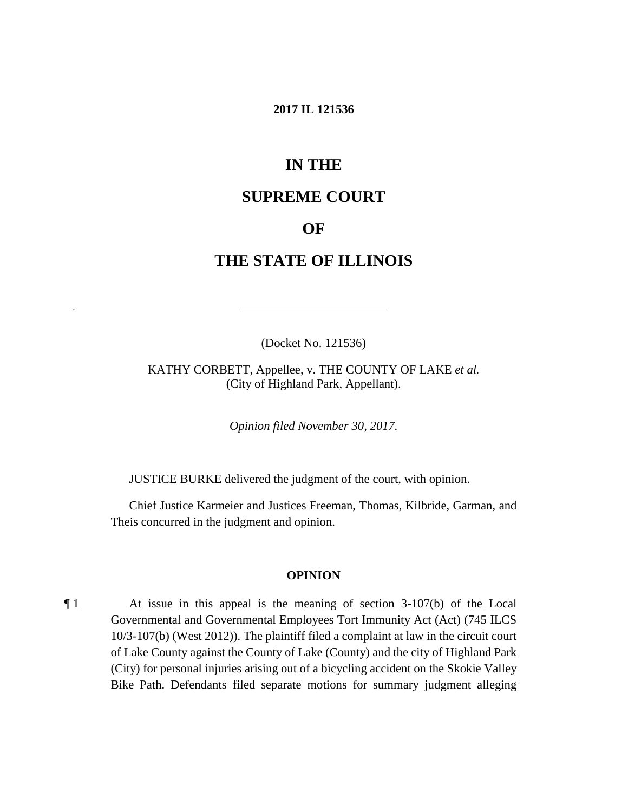### **2017 IL 121536**

# **IN THE**

## **SUPREME COURT**

## **OF**

# **THE STATE OF ILLINOIS**

(Docket No. 121536)

 KATHY CORBETT, Appellee, v. THE COUNTY OF LAKE *et al.*  (City of Highland Park, Appellant).

*Opinion filed November 30, 2017.* 

JUSTICE BURKE delivered the judgment of the court, with opinion.

Chief Justice Karmeier and Justices Freeman, Thomas, Kilbride, Garman, and Theis concurred in the judgment and opinion.

#### **OPINION**

 ¶ 1 At issue in this appeal is the meaning of section 3-107(b) of the Local Governmental and Governmental Employees Tort Immunity Act (Act) (745 ILCS of Lake County against the County of Lake (County) and the city of Highland Park 10/3-107(b) (West 2012)). The plaintiff filed a complaint at law in the circuit court (City) for personal injuries arising out of a bicycling accident on the Skokie Valley Bike Path. Defendants filed separate motions for summary judgment alleging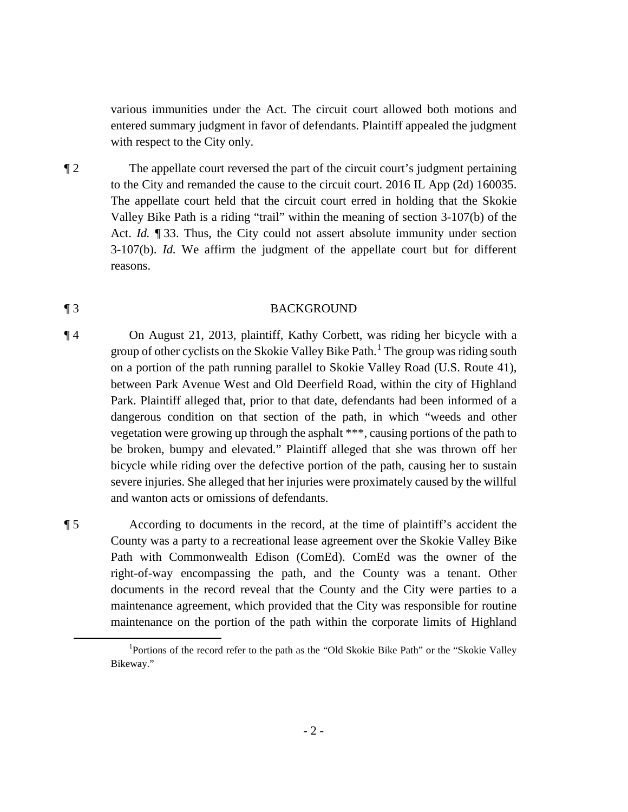various immunities under the Act. The circuit court allowed both motions and entered summary judgment in favor of defendants. Plaintiff appealed the judgment with respect to the City only.

 The appellate court held that the circuit court erred in holding that the Skokie Act. *Id.* 133. Thus, the City could not assert absolute immunity under section ¶ 2 The appellate court reversed the part of the circuit court's judgment pertaining to the City and remanded the cause to the circuit court. 2016 IL App (2d) 160035. Valley Bike Path is a riding "trail" within the meaning of section 3-107(b) of the 3-107(b). *Id.* We affirm the judgment of the appellate court but for different reasons.

### ¶ 3 BACKGROUND

group of other cyclists on the Skokie Valley Bike Path.<sup>1</sup> The group was riding south vegetation were growing up through the asphalt \*\*\*, causing portions of the path to ¶ 4 On August 21, 2013, plaintiff, Kathy Corbett, was riding her bicycle with a on a portion of the path running parallel to Skokie Valley Road (U.S. Route 41), between Park Avenue West and Old Deerfield Road, within the city of Highland Park. Plaintiff alleged that, prior to that date, defendants had been informed of a dangerous condition on that section of the path, in which "weeds and other be broken, bumpy and elevated." Plaintiff alleged that she was thrown off her bicycle while riding over the defective portion of the path, causing her to sustain severe injuries. She alleged that her injuries were proximately caused by the willful and wanton acts or omissions of defendants.

 $\overline{a}$ 

 maintenance agreement, which provided that the City was responsible for routine ¶ 5 According to documents in the record, at the time of plaintiff's accident the County was a party to a recreational lease agreement over the Skokie Valley Bike Path with Commonwealth Edison (ComEd). ComEd was the owner of the right-of-way encompassing the path, and the County was a tenant. Other documents in the record reveal that the County and the City were parties to a maintenance on the portion of the path within the corporate limits of Highland

<sup>&</sup>lt;sup>1</sup>Portions of the record refer to the path as the "Old Skokie Bike Path" or the "Skokie Valley Bikeway."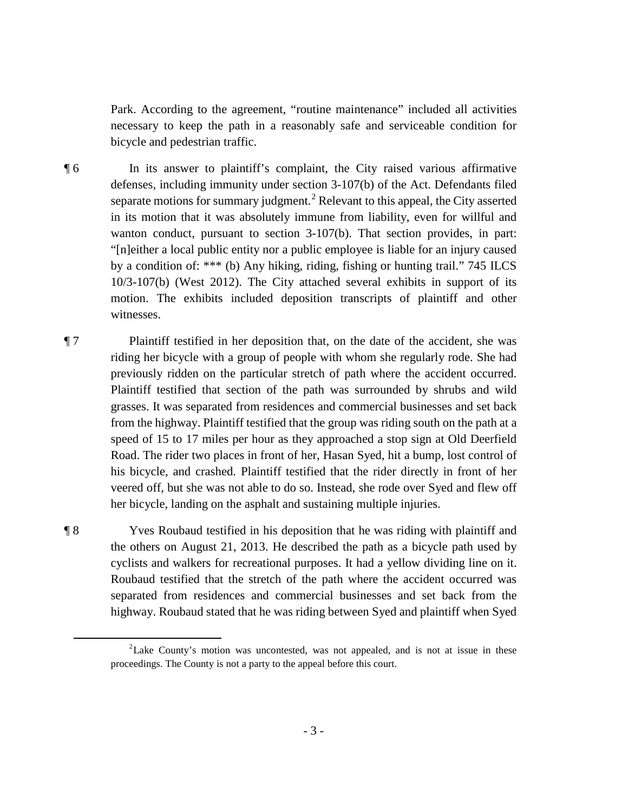Park. According to the agreement, "routine maintenance" included all activities necessary to keep the path in a reasonably safe and serviceable condition for bicycle and pedestrian traffic.

separate motions for summary judgment.<sup>2</sup> Relevant to this appeal, the City asserted in its motion that it was absolutely immune from liability, even for willful and "[n]either a local public entity nor a public employee is liable for an injury caused by a condition of: \*\*\* (b) Any hiking, riding, fishing or hunting trail." 745 ILCS motion. The exhibits included deposition transcripts of plaintiff and other ¶ 6 In its answer to plaintiff's complaint, the City raised various affirmative defenses, including immunity under section 3-107(b) of the Act. Defendants filed wanton conduct, pursuant to section 3-107(b). That section provides, in part: 10/3-107(b) (West 2012). The City attached several exhibits in support of its witnesses.

 grasses. It was separated from residences and commercial businesses and set back from the highway. Plaintiff testified that the group was riding south on the path at a ¶ 7 Plaintiff testified in her deposition that, on the date of the accident, she was riding her bicycle with a group of people with whom she regularly rode. She had previously ridden on the particular stretch of path where the accident occurred. Plaintiff testified that section of the path was surrounded by shrubs and wild speed of 15 to 17 miles per hour as they approached a stop sign at Old Deerfield Road. The rider two places in front of her, Hasan Syed, hit a bump, lost control of his bicycle, and crashed. Plaintiff testified that the rider directly in front of her veered off, but she was not able to do so. Instead, she rode over Syed and flew off her bicycle, landing on the asphalt and sustaining multiple injuries.

 $\overline{a}$ 

 cyclists and walkers for recreational purposes. It had a yellow dividing line on it. ¶ 8 Yves Roubaud testified in his deposition that he was riding with plaintiff and the others on August 21, 2013. He described the path as a bicycle path used by Roubaud testified that the stretch of the path where the accident occurred was separated from residences and commercial businesses and set back from the highway. Roubaud stated that he was riding between Syed and plaintiff when Syed

<sup>&</sup>lt;sup>2</sup> Lake County's motion was uncontested, was not appealed, and is not at issue in these proceedings. The County is not a party to the appeal before this court.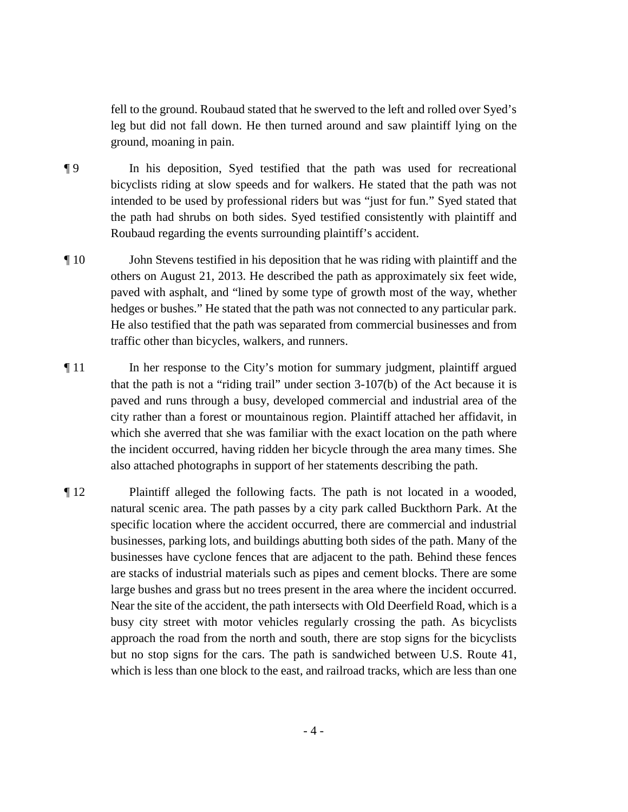ground, moaning in pain. fell to the ground. Roubaud stated that he swerved to the left and rolled over Syed's leg but did not fall down. He then turned around and saw plaintiff lying on the

- bicyclists riding at slow speeds and for walkers. He stated that the path was not **The state in pair is in pair in pair in pair is expected** that the path was used for recreational intended to be used by professional riders but was "just for fun." Syed stated that the path had shrubs on both sides. Syed testified consistently with plaintiff and Roubaud regarding the events surrounding plaintiff's accident.
- ¶ 10 John Stevens testified in his deposition that he was riding with plaintiff and the others on August 21, 2013. He described the path as approximately six feet wide, paved with asphalt, and "lined by some type of growth most of the way, whether hedges or bushes." He stated that the path was not connected to any particular park. He also testified that the path was separated from commercial businesses and from traffic other than bicycles, walkers, and runners.
- ¶ 11 In her response to the City's motion for summary judgment, plaintiff argued city rather than a forest or mountainous region. Plaintiff attached her affidavit, in that the path is not a "riding trail" under section 3-107(b) of the Act because it is paved and runs through a busy, developed commercial and industrial area of the which she averred that she was familiar with the exact location on the path where the incident occurred, having ridden her bicycle through the area many times. She also attached photographs in support of her statements describing the path.
- businesses, parking lots, and buildings abutting both sides of the path. Many of the busy city street with motor vehicles regularly crossing the path. As bicyclists ¶ 12 Plaintiff alleged the following facts. The path is not located in a wooded, natural scenic area. The path passes by a city park called Buckthorn Park. At the specific location where the accident occurred, there are commercial and industrial businesses have cyclone fences that are adjacent to the path. Behind these fences are stacks of industrial materials such as pipes and cement blocks. There are some large bushes and grass but no trees present in the area where the incident occurred. Near the site of the accident, the path intersects with Old Deerfield Road, which is a approach the road from the north and south, there are stop signs for the bicyclists but no stop signs for the cars. The path is sandwiched between U.S. Route 41, which is less than one block to the east, and railroad tracks, which are less than one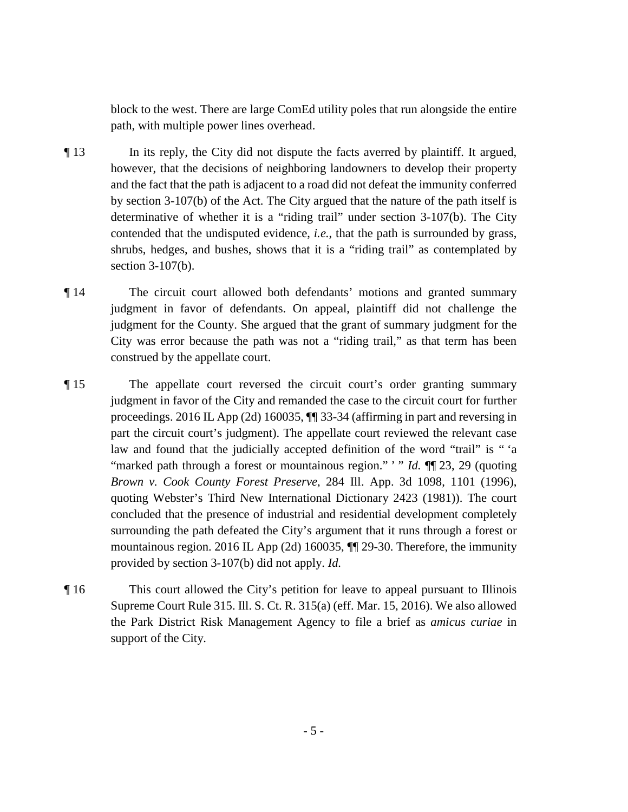block to the west. There are large ComEd utility poles that run alongside the entire path, with multiple power lines overhead.

- however, that the decisions of neighboring landowners to develop their property ¶ 13 In its reply, the City did not dispute the facts averred by plaintiff. It argued, and the fact that the path is adjacent to a road did not defeat the immunity conferred by section 3-107(b) of the Act. The City argued that the nature of the path itself is determinative of whether it is a "riding trail" under section 3-107(b). The City contended that the undisputed evidence, *i.e.*, that the path is surrounded by grass, shrubs, hedges, and bushes, shows that it is a "riding trail" as contemplated by section 3-107(b).
- ¶ 14 The circuit court allowed both defendants' motions and granted summary judgment in favor of defendants. On appeal, plaintiff did not challenge the judgment for the County. She argued that the grant of summary judgment for the City was error because the path was not a "riding trail," as that term has been construed by the appellate court.
- judgment in favor of the City and remanded the case to the circuit court for further "marked path through a forest or mountainous region." '" *Id.* **[1]** 23, 29 (quoting surrounding the path defeated the City's argument that it runs through a forest or ¶ 15 The appellate court reversed the circuit court's order granting summary proceedings. 2016 IL App (2d) 160035, ¶¶ 33-34 (affirming in part and reversing in part the circuit court's judgment). The appellate court reviewed the relevant case law and found that the judicially accepted definition of the word "trail" is " 'a *Brown v. Cook County Forest Preserve*, 284 Ill. App. 3d 1098, 1101 (1996), quoting Webster's Third New International Dictionary 2423 (1981)). The court concluded that the presence of industrial and residential development completely mountainous region. 2016 IL App (2d) 160035, ¶¶ 29-30. Therefore, the immunity provided by section 3-107(b) did not apply. *Id.*
- ¶ 16 This court allowed the City's petition for leave to appeal pursuant to Illinois Supreme Court Rule 315. Ill. S. Ct. R. 315(a) (eff. Mar. 15, 2016). We also allowed the Park District Risk Management Agency to file a brief as *amicus curiae* in support of the City.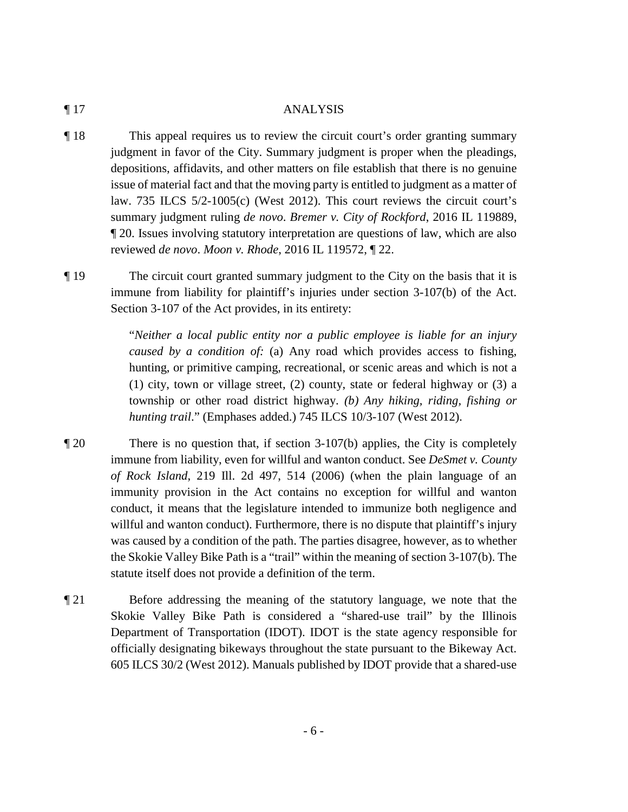#### ¶ 17 ANALYSIS

 issue of material fact and that the moving party is entitled to judgment as a matter of law. 735 ILCS 5/2-1005(c) (West 2012). This court reviews the circuit court's ¶ 18 This appeal requires us to review the circuit court's order granting summary judgment in favor of the City. Summary judgment is proper when the pleadings, depositions, affidavits, and other matters on file establish that there is no genuine summary judgment ruling *de novo*. *Bremer v. City of Rockford*, 2016 IL 119889, ¶ 20. Issues involving statutory interpretation are questions of law, which are also reviewed *de novo*. *Moon v. Rhode*, 2016 IL 119572, ¶ 22.

 immune from liability for plaintiff's injuries under section 3-107(b) of the Act. ¶ 19 The circuit court granted summary judgment to the City on the basis that it is Section 3-107 of the Act provides, in its entirety:

> "*Neither a local public entity nor a public employee is liable for an injury caused by a condition of:* (a) Any road which provides access to fishing, hunting, or primitive camping, recreational, or scenic areas and which is not a (1) city, town or village street, (2) county, state or federal highway or (3) a township or other road district highway. *(b) Any hiking, riding, fishing or hunting trail*." (Emphases added.) 745 ILCS 10/3-107 (West 2012).

¶ 20 There is no question that, if section 3-107(b) applies, the City is completely immune from liability, even for willful and wanton conduct. See *DeSmet v. County of Rock Island*, 219 Ill. 2d 497, 514 (2006) (when the plain language of an immunity provision in the Act contains no exception for willful and wanton conduct, it means that the legislature intended to immunize both negligence and willful and wanton conduct). Furthermore, there is no dispute that plaintiff's injury was caused by a condition of the path. The parties disagree, however, as to whether the Skokie Valley Bike Path is a "trail" within the meaning of section 3-107(b). The statute itself does not provide a definition of the term.

 Skokie Valley Bike Path is considered a "shared-use trail" by the Illinois ¶ 21 Before addressing the meaning of the statutory language, we note that the Department of Transportation (IDOT). IDOT is the state agency responsible for officially designating bikeways throughout the state pursuant to the Bikeway Act. 605 ILCS 30/2 (West 2012). Manuals published by IDOT provide that a shared-use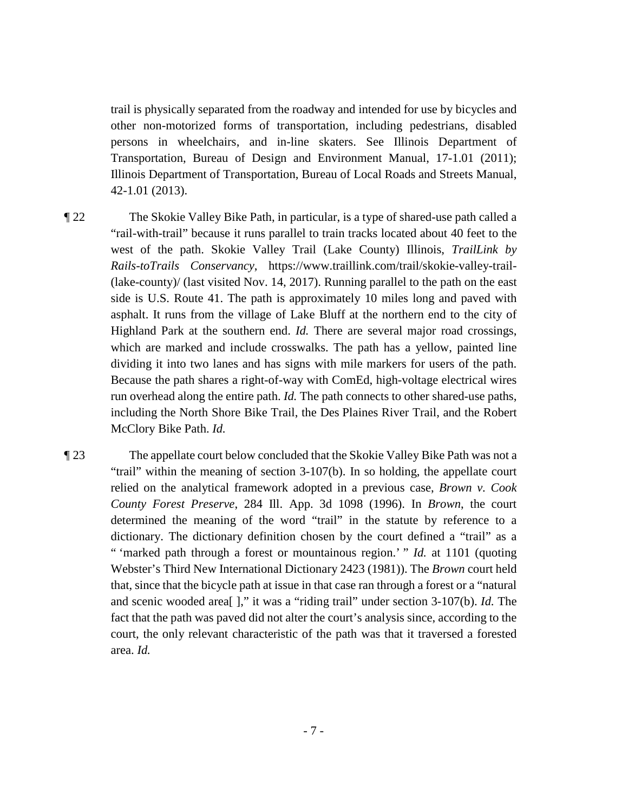trail is physically separated from the roadway and intended for use by bicycles and other non-motorized forms of transportation, including pedestrians, disabled persons in wheelchairs, and in-line skaters. See Illinois Department of Transportation, Bureau of Design and Environment Manual, 17-1.01 (2011); Illinois Department of Transportation, Bureau of Local Roads and Streets Manual, 42-1.01 (2013).

- ¶ 22 The Skokie Valley Bike Path, in particular, is a type of shared-use path called a west of the path. Skokie Valley Trail (Lake County) Illinois, *TrailLink by*  asphalt. It runs from the village of Lake Bluff at the northern end to the city of which are marked and include crosswalks. The path has a yellow, painted line including the North Shore Bike Trail, the Des Plaines River Trail, and the Robert McClory Bike Path. *Id.* "rail-with-trail" because it runs parallel to train tracks located about 40 feet to the *Rails-toTrails Conservancy*, https://www.traillink.com/trail/skokie-valley-trail (lake-county)/ (last visited Nov. 14, 2017). Running parallel to the path on the east side is U.S. Route 41. The path is approximately 10 miles long and paved with Highland Park at the southern end. *Id.* There are several major road crossings, dividing it into two lanes and has signs with mile markers for users of the path. Because the path shares a right-of-way with ComEd, high-voltage electrical wires run overhead along the entire path. *Id.* The path connects to other shared-use paths,
- ¶ 23 The appellate court below concluded that the Skokie Valley Bike Path was not a " 'marked path through a forest or mountainous region.' " *Id.* at 1101 (quoting area. *Id.* "trail" within the meaning of section 3-107(b). In so holding, the appellate court relied on the analytical framework adopted in a previous case, *Brown v. Cook County Forest Preserve*, 284 Ill. App. 3d 1098 (1996). In *Brown*, the court determined the meaning of the word "trail" in the statute by reference to a dictionary. The dictionary definition chosen by the court defined a "trail" as a Webster's Third New International Dictionary 2423 (1981)). The *Brown* court held that, since that the bicycle path at issue in that case ran through a forest or a "natural and scenic wooded area[ ]," it was a "riding trail" under section 3-107(b). *Id.* The fact that the path was paved did not alter the court's analysis since, according to the court, the only relevant characteristic of the path was that it traversed a forested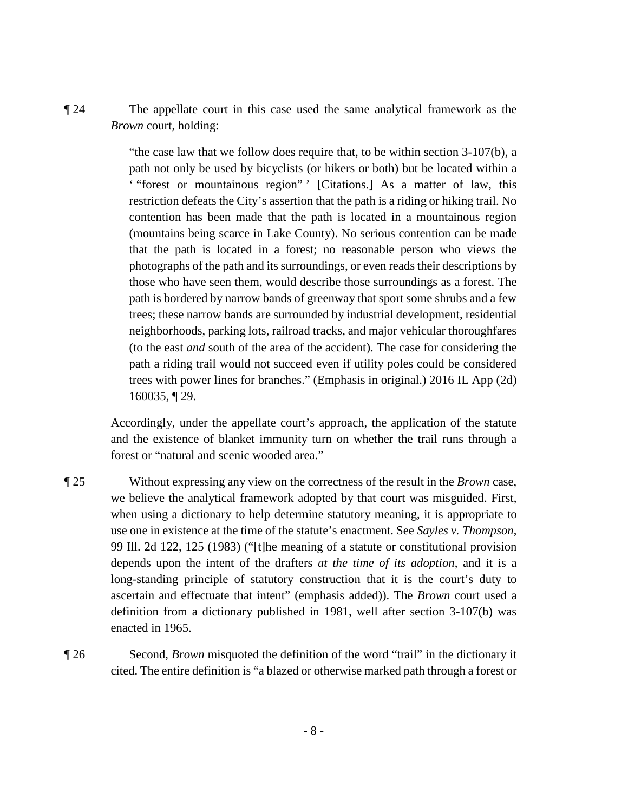*Brown* court, holding: ¶ 24 The appellate court in this case used the same analytical framework as the

> "the case law that we follow does require that, to be within section 3-107(b), a path not only be used by bicyclists (or hikers or both) but be located within a ' "forest or mountainous region" ' [Citations.] As a matter of law, this restriction defeats the City's assertion that the path is a riding or hiking trail. No contention has been made that the path is located in a mountainous region (mountains being scarce in Lake County). No serious contention can be made that the path is located in a forest; no reasonable person who views the photographs of the path and its surroundings, or even reads their descriptions by those who have seen them, would describe those surroundings as a forest. The path is bordered by narrow bands of greenway that sport some shrubs and a few trees; these narrow bands are surrounded by industrial development, residential neighborhoods, parking lots, railroad tracks, and major vehicular thoroughfares (to the east *and* south of the area of the accident). The case for considering the path a riding trail would not succeed even if utility poles could be considered trees with power lines for branches." (Emphasis in original.) 2016 IL App (2d) 160035, ¶ 29.

 Accordingly, under the appellate court's approach, the application of the statute and the existence of blanket immunity turn on whether the trail runs through a forest or "natural and scenic wooded area."

- long-standing principle of statutory construction that it is the court's duty to ¶ 25 Without expressing any view on the correctness of the result in the *Brown* case, we believe the analytical framework adopted by that court was misguided. First, when using a dictionary to help determine statutory meaning, it is appropriate to use one in existence at the time of the statute's enactment. See *Sayles v. Thompson*, 99 Ill. 2d 122, 125 (1983) ("[t]he meaning of a statute or constitutional provision depends upon the intent of the drafters *at the time of its adoption*, and it is a ascertain and effectuate that intent" (emphasis added)). The *Brown* court used a definition from a dictionary published in 1981, well after section 3-107(b) was enacted in 1965.
- ¶ 26 Second, *Brown* misquoted the definition of the word "trail" in the dictionary it cited. The entire definition is "a blazed or otherwise marked path through a forest or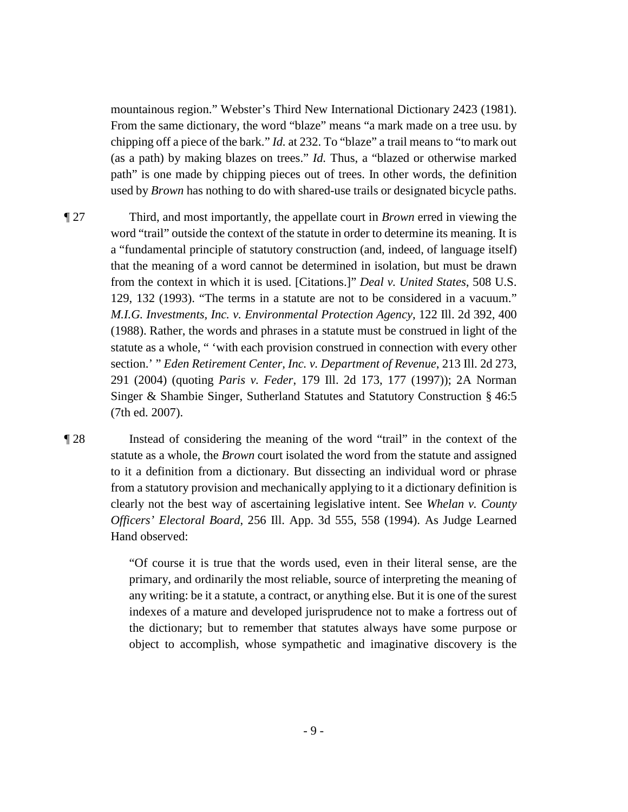mountainous region." Webster's Third New International Dictionary 2423 (1981). From the same dictionary, the word "blaze" means "a mark made on a tree usu. by chipping off a piece of the bark." *Id.* at 232. To "blaze" a trail means to "to mark out (as a path) by making blazes on trees." *Id.* Thus, a "blazed or otherwise marked path" is one made by chipping pieces out of trees. In other words, the definition used by *Brown* has nothing to do with shared-use trails or designated bicycle paths.

 word "trail" outside the context of the statute in order to determine its meaning. It is that the meaning of a word cannot be determined in isolation, but must be drawn statute as a whole, " 'with each provision construed in connection with every other 291 (2004) (quoting *Paris v. Feder*, 179 Ill. 2d 173, 177 (1997)); 2A Norman ¶ 27 Third, and most importantly, the appellate court in *Brown* erred in viewing the a "fundamental principle of statutory construction (and, indeed, of language itself) from the context in which it is used. [Citations.]" *Deal v. United States*, 508 U.S. 129, 132 (1993). "The terms in a statute are not to be considered in a vacuum." *M.I.G. Investments, Inc. v. Environmental Protection Agency*, 122 Ill. 2d 392, 400 (1988). Rather, the words and phrases in a statute must be construed in light of the section.' " *Eden Retirement Center, Inc. v. Department of Revenue*, 213 Ill. 2d 273, Singer & Shambie Singer, Sutherland Statutes and Statutory Construction § 46:5 (7th ed. 2007).

 statute as a whole, the *Brown* court isolated the word from the statute and assigned to it a definition from a dictionary. But dissecting an individual word or phrase ¶ 28 Instead of considering the meaning of the word "trail" in the context of the from a statutory provision and mechanically applying to it a dictionary definition is clearly not the best way of ascertaining legislative intent. See *Whelan v. County Officers' Electoral Board*, 256 Ill. App. 3d 555, 558 (1994). As Judge Learned Hand observed:

> "Of course it is true that the words used, even in their literal sense, are the primary, and ordinarily the most reliable, source of interpreting the meaning of any writing: be it a statute, a contract, or anything else. But it is one of the surest indexes of a mature and developed jurisprudence not to make a fortress out of the dictionary; but to remember that statutes always have some purpose or object to accomplish, whose sympathetic and imaginative discovery is the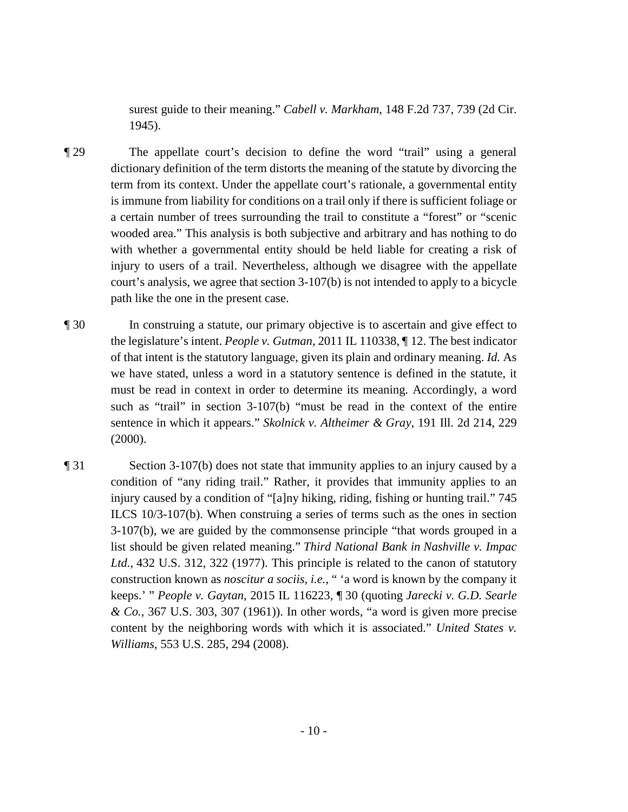surest guide to their meaning." *Cabell v. Markham*, 148 F.2d 737, 739 (2d Cir. 1945).

- ¶ 29 The appellate court's decision to define the word "trail" using a general a certain number of trees surrounding the trail to constitute a "forest" or "scenic with whether a governmental entity should be held liable for creating a risk of dictionary definition of the term distorts the meaning of the statute by divorcing the term from its context. Under the appellate court's rationale, a governmental entity is immune from liability for conditions on a trail only if there is sufficient foliage or wooded area." This analysis is both subjective and arbitrary and has nothing to do injury to users of a trail. Nevertheless, although we disagree with the appellate court's analysis, we agree that section 3-107(b) is not intended to apply to a bicycle path like the one in the present case.
- such as "trail" in section 3-107(b) "must be read in the context of the entire ¶ 30 In construing a statute, our primary objective is to ascertain and give effect to the legislature's intent. *People v. Gutman*, 2011 IL 110338, ¶ 12. The best indicator of that intent is the statutory language, given its plain and ordinary meaning. *Id.* As we have stated, unless a word in a statutory sentence is defined in the statute, it must be read in context in order to determine its meaning. Accordingly, a word sentence in which it appears." *Skolnick v. Altheimer & Gray*, 191 Ill. 2d 214, 229 (2000).
- ¶ 31 Section 3-107(b) does not state that immunity applies to an injury caused by a 3-107(b), we are guided by the commonsense principle "that words grouped in a condition of "any riding trail." Rather, it provides that immunity applies to an injury caused by a condition of "[a]ny hiking, riding, fishing or hunting trail." 745 ILCS 10/3-107(b). When construing a series of terms such as the ones in section list should be given related meaning." *Third National Bank in Nashville v. Impac Ltd.*, 432 U.S. 312, 322 (1977). This principle is related to the canon of statutory construction known as *noscitur a sociis*, *i.e.*, " 'a word is known by the company it keeps.' " *People v. Gaytan*, 2015 IL 116223, ¶ 30 (quoting *Jarecki v. G.D. Searle & Co.*, 367 U.S. 303, 307 (1961)). In other words, "a word is given more precise content by the neighboring words with which it is associated." *United States v. Williams*, 553 U.S. 285, 294 (2008).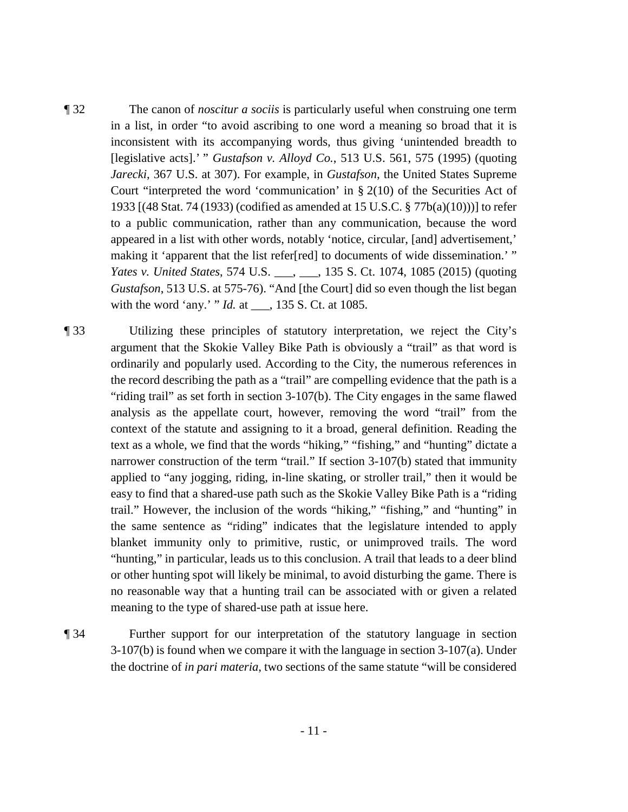- [legislative acts].' " *Gustafson v. Alloyd Co.*, 513 U.S. 561, 575 (1995) (quoting ¶ 32 The canon of *noscitur a sociis* is particularly useful when construing one term in a list, in order "to avoid ascribing to one word a meaning so broad that it is inconsistent with its accompanying words, thus giving 'unintended breadth to *Jarecki*, 367 U.S. at 307). For example, in *Gustafson*, the United States Supreme Court "interpreted the word 'communication' in  $\S 2(10)$  of the Securities Act of 1933 [(48 Stat. 74 (1933) (codified as amended at 15 U.S.C. § 77b(a)(10)))] to refer to a public communication, rather than any communication, because the word appeared in a list with other words, notably 'notice, circular, [and] advertisement,' making it 'apparent that the list refer[red] to documents of wide dissemination.' " *Yates v. United States*, 574 U.S. \_\_\_, \_\_\_, 135 S. Ct. 1074, 1085 (2015) (quoting *Gustafson*, 513 U.S. at 575-76). "And [the Court] did so even though the list began with the word 'any.' " *Id.* at \_\_\_, 135 S. Ct. at 1085.
- argument that the Skokie Valley Bike Path is obviously a "trail" as that word is ¶ 33 Utilizing these principles of statutory interpretation, we reject the City's ordinarily and popularly used. According to the City, the numerous references in the record describing the path as a "trail" are compelling evidence that the path is a "riding trail" as set forth in section 3-107(b). The City engages in the same flawed analysis as the appellate court, however, removing the word "trail" from the context of the statute and assigning to it a broad, general definition. Reading the text as a whole, we find that the words "hiking," "fishing," and "hunting" dictate a narrower construction of the term "trail." If section 3-107(b) stated that immunity applied to "any jogging, riding, in-line skating, or stroller trail," then it would be easy to find that a shared-use path such as the Skokie Valley Bike Path is a "riding trail." However, the inclusion of the words "hiking," "fishing," and "hunting" in the same sentence as "riding" indicates that the legislature intended to apply blanket immunity only to primitive, rustic, or unimproved trails. The word "hunting," in particular, leads us to this conclusion. A trail that leads to a deer blind or other hunting spot will likely be minimal, to avoid disturbing the game. There is no reasonable way that a hunting trail can be associated with or given a related meaning to the type of shared-use path at issue here.
- the doctrine of *in pari materia*, two sections of the same statute "will be considered ¶ 34 Further support for our interpretation of the statutory language in section  $3-107(b)$  is found when we compare it with the language in section  $3-107(a)$ . Under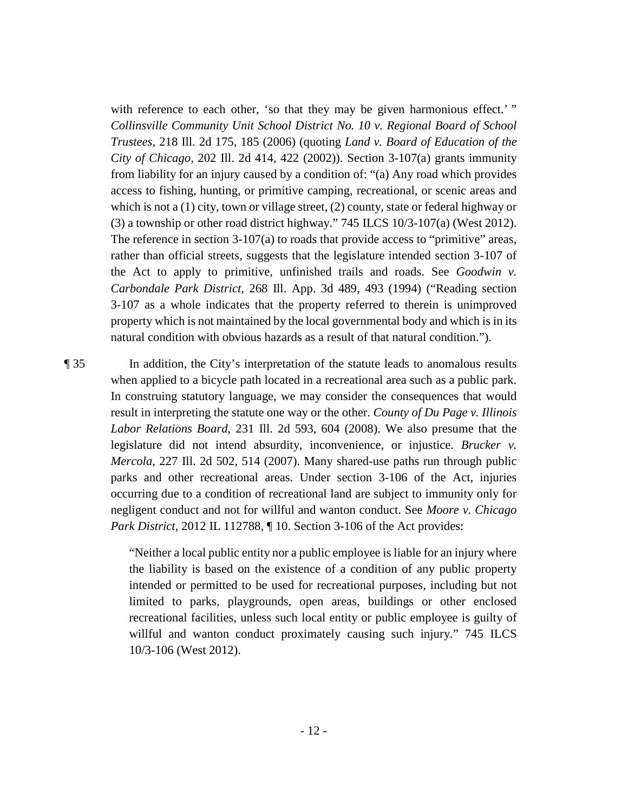from liability for an injury caused by a condition of: "(a) Any road which provides with reference to each other, 'so that they may be given harmonious effect.'" *Collinsville Community Unit School District No. 10 v. Regional Board of School Trustees*, 218 Ill. 2d 175, 185 (2006) (quoting *Land v. Board of Education of the City of Chicago*, 202 Ill. 2d 414, 422 (2002)). Section 3-107(a) grants immunity access to fishing, hunting, or primitive camping, recreational, or scenic areas and which is not a (1) city, town or village street, (2) county, state or federal highway or  $(3)$  a township or other road district highway." 745 ILCS 10/3-107(a) (West 2012). The reference in section 3-107(a) to roads that provide access to "primitive" areas, rather than official streets, suggests that the legislature intended section 3-107 of the Act to apply to primitive, unfinished trails and roads. See *Goodwin v. Carbondale Park District*, 268 Ill. App. 3d 489, 493 (1994) ("Reading section 3-107 as a whole indicates that the property referred to therein is unimproved property which is not maintained by the local governmental body and which is in its natural condition with obvious hazards as a result of that natural condition.").

Park District, 2012 IL 112788, ¶ 10. Section 3-106 of the Act provides: *Park District*, 2012 IL 112788,  $\P$  10. Section 3-106 of the Act provides:<br>"Neither a local public entity nor a public employee is liable for an injury where ¶ 35 In addition, the City's interpretation of the statute leads to anomalous results when applied to a bicycle path located in a recreational area such as a public park. In construing statutory language, we may consider the consequences that would result in interpreting the statute one way or the other. *County of Du Page v. Illinois Labor Relations Board*, 231 Ill. 2d 593, 604 (2008). We also presume that the legislature did not intend absurdity, inconvenience, or injustice. *Brucker v. Mercola*, 227 Ill. 2d 502, 514 (2007). Many shared-use paths run through public parks and other recreational areas. Under section 3-106 of the Act, injuries occurring due to a condition of recreational land are subject to immunity only for negligent conduct and not for willful and wanton conduct. See *Moore v. Chicago* 

the liability is based on the existence of a condition of any public property intended or permitted to be used for recreational purposes, including but not limited to parks, playgrounds, open areas, buildings or other enclosed recreational facilities, unless such local entity or public employee is guilty of willful and wanton conduct proximately causing such injury." 745 ILCS 10/3-106 (West 2012).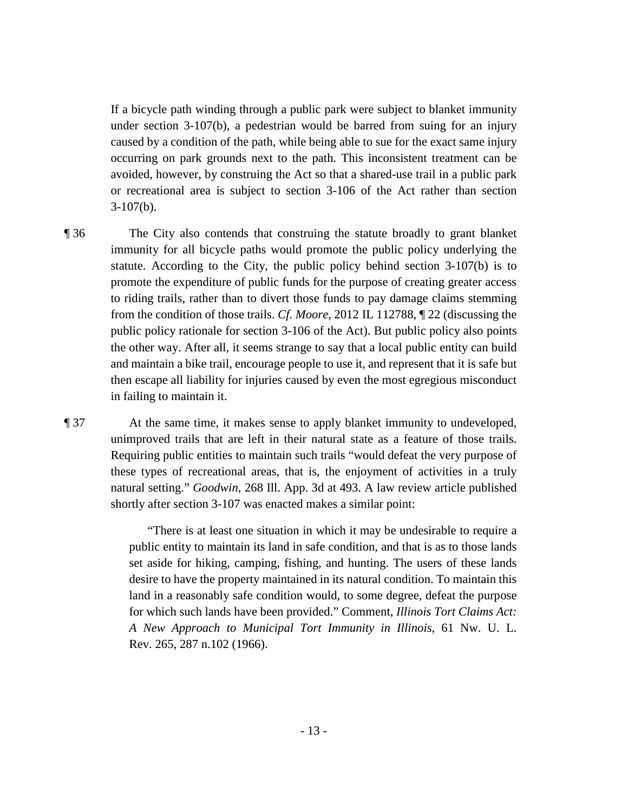occurring on park grounds next to the path. This inconsistent treatment can be If a bicycle path winding through a public park were subject to blanket immunity under section 3-107(b), a pedestrian would be barred from suing for an injury caused by a condition of the path, while being able to sue for the exact same injury avoided, however, by construing the Act so that a shared-use trail in a public park or recreational area is subject to section 3-106 of the Act rather than section 3-107(b).

immunity for all bicycle paths would promote the public policy underlying the

statute. According to the City, the public policy behind section 3-107(b) is to promote the expenditure of public funds for the purpose of creating greater access to riding trails, rather than to divert those funds to pay damage claims stemming from the condition of those trails. *Cf. Moore*, 2012 IL 112788, ¶ 22 (discussing the public policy rationale for section 3-106 of the Act). But public policy also points

the other way. After all, it seems strange to say that a local public entity can build

and maintain a bike trail, encourage people to use it, and represent that it is safe but then escape all liability for injuries caused by even the most egregious misconduct

¶ 36 The City also contends that construing the statute broadly to grant blanket

in failing to maintain it.

¶ 37 At the same time, it makes sense to apply blanket immunity to undeveloped, unimproved trails that are left in their natural state as a feature of those trails. Requiring public entities to maintain such trails "would defeat the very purpose of these types of recreational areas, that is, the enjoyment of activities in a truly natural setting." *Goodwin*, 268 Ill. App. 3d at 493. A law review article published shortly after section 3-107 was enacted makes a similar point:

> "There is at least one situation in which it may be undesirable to require a public entity to maintain its land in safe condition, and that is as to those lands set aside for hiking, camping, fishing, and hunting. The users of these lands desire to have the property maintained in its natural condition. To maintain this land in a reasonably safe condition would, to some degree, defeat the purpose for which such lands have been provided." Comment, *Illinois Tort Claims Act: A New Approach to Municipal Tort Immunity in Illinois*, 61 Nw. U. L. Rev. 265, 287 n.102 (1966).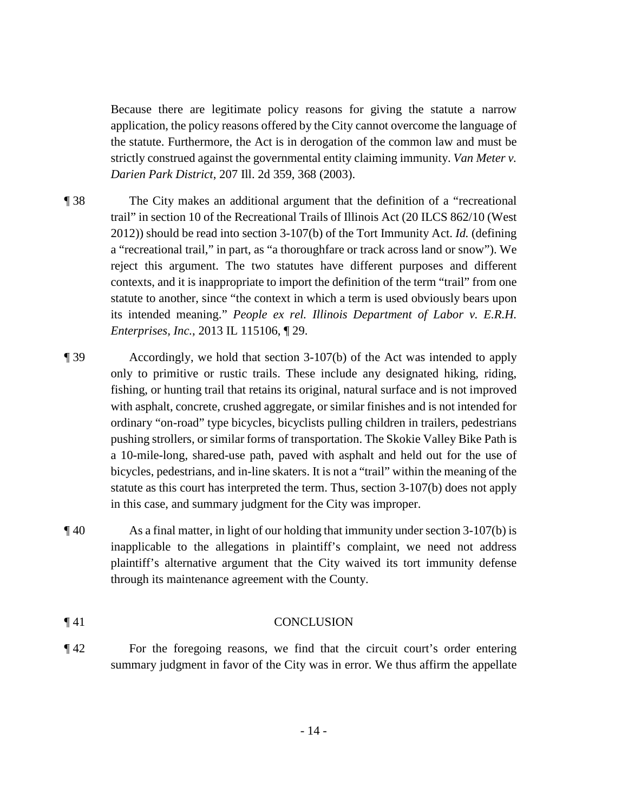strictly construed against the governmental entity claiming immunity. *Van Meter v.*  Because there are legitimate policy reasons for giving the statute a narrow application, the policy reasons offered by the City cannot overcome the language of the statute. Furthermore, the Act is in derogation of the common law and must be *Darien Park District*, 207 Ill. 2d 359, 368 (2003).

- ¶ 38 The City makes an additional argument that the definition of a "recreational trail" in section 10 of the Recreational Trails of Illinois Act (20 ILCS 862/10 (West 2012)) should be read into section 3-107(b) of the Tort Immunity Act. *Id.* (defining a "recreational trail," in part, as "a thoroughfare or track across land or snow"). We reject this argument. The two statutes have different purposes and different contexts, and it is inappropriate to import the definition of the term "trail" from one statute to another, since "the context in which a term is used obviously bears upon its intended meaning." *People ex rel. Illinois Department of Labor v. E.R.H. Enterprises, Inc.*, 2013 IL 115106, ¶ 29.
- pushing strollers, or similar forms of transportation. The Skokie Valley Bike Path is bicycles, pedestrians, and in-line skaters. It is not a "trail" within the meaning of the in this case, and summary judgment for the City was improper. ¶ 39 Accordingly, we hold that section 3-107(b) of the Act was intended to apply only to primitive or rustic trails. These include any designated hiking, riding, fishing, or hunting trail that retains its original, natural surface and is not improved with asphalt, concrete, crushed aggregate, or similar finishes and is not intended for ordinary "on-road" type bicycles, bicyclists pulling children in trailers, pedestrians a 10-mile-long, shared-use path, paved with asphalt and held out for the use of statute as this court has interpreted the term. Thus, section 3-107(b) does not apply
- plaintiff's alternative argument that the City waived its tort immunity defense  $\parallel$  40 As a final matter, in light of our holding that immunity under section 3-107(b) is inapplicable to the allegations in plaintiff's complaint, we need not address through its maintenance agreement with the County.

### ¶ 41 CONCLUSION

¶ 42 For the foregoing reasons, we find that the circuit court's order entering summary judgment in favor of the City was in error. We thus affirm the appellate